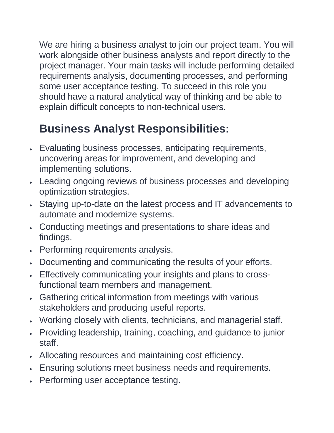We are hiring a business analyst to join our project team. You will work alongside other business analysts and report directly to the project manager. Your main tasks will include performing detailed requirements analysis, documenting processes, and performing some user acceptance testing. To succeed in this role you should have a natural analytical way of thinking and be able to explain difficult concepts to non-technical users.

## **Business Analyst Responsibilities:**

- Evaluating business processes, anticipating requirements, uncovering areas for improvement, and developing and implementing solutions.
- Leading ongoing reviews of business processes and developing optimization strategies.
- Staying up-to-date on the latest process and IT advancements to automate and modernize systems.
- Conducting meetings and presentations to share ideas and findings.
- Performing requirements analysis.
- Documenting and communicating the results of your efforts.
- Effectively communicating your insights and plans to crossfunctional team members and management.
- Gathering critical information from meetings with various stakeholders and producing useful reports.
- Working closely with clients, technicians, and managerial staff.
- Providing leadership, training, coaching, and guidance to junior staff.
- Allocating resources and maintaining cost efficiency.
- Ensuring solutions meet business needs and requirements.
- Performing user acceptance testing.